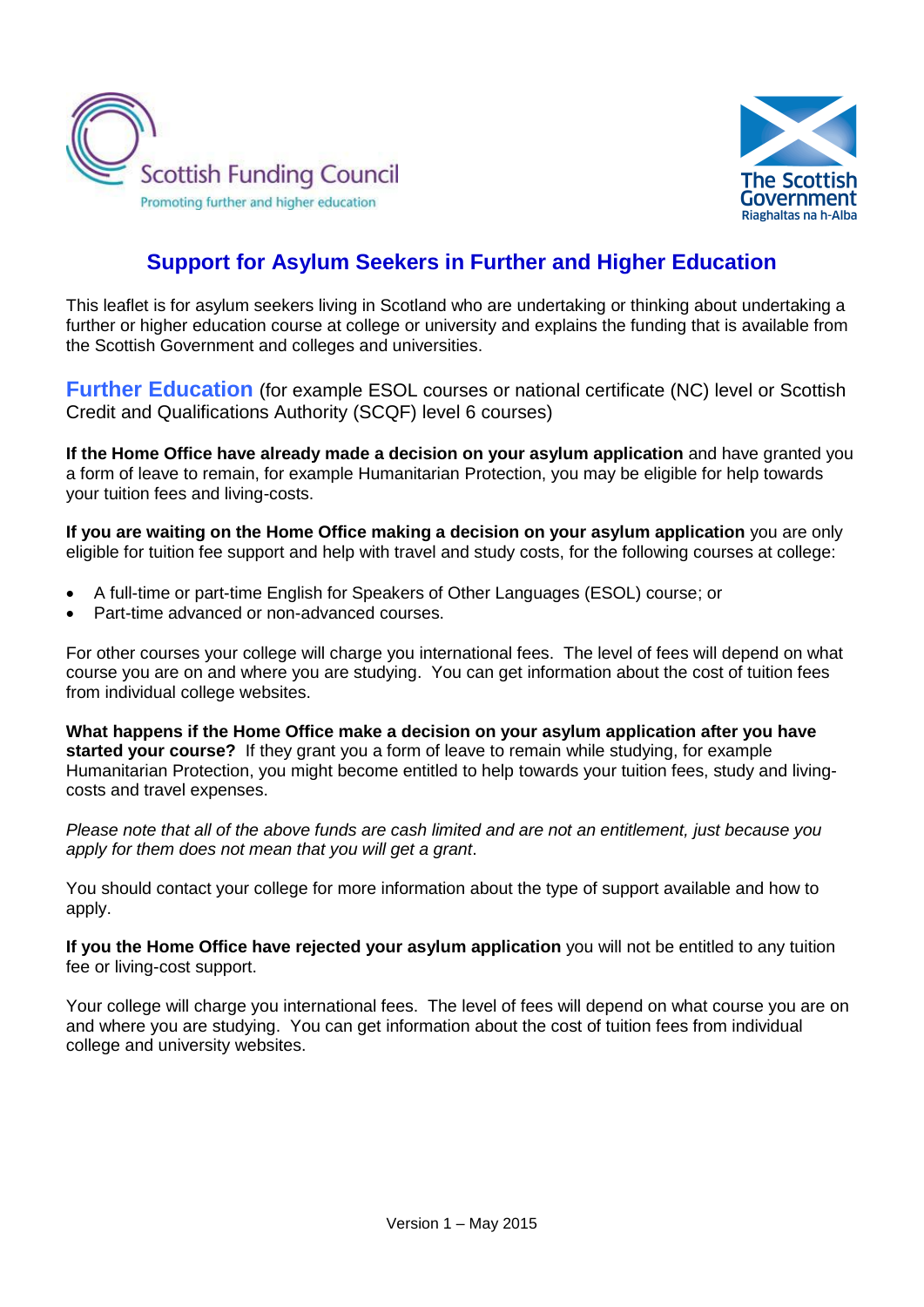



## **Support for Asylum Seekers in Further and Higher Education**

This leaflet is for asylum seekers living in Scotland who are undertaking or thinking about undertaking a further or higher education course at college or university and explains the funding that is available from the Scottish Government and colleges and universities.

**Further Education** (for example ESOL courses or national certificate (NC) level or Scottish Credit and Qualifications Authority (SCQF) level 6 courses)

**If the Home Office have already made a decision on your asylum application** and have granted you a form of leave to remain, for example Humanitarian Protection, you may be eligible for help towards your tuition fees and living-costs.

**If you are waiting on the Home Office making a decision on your asylum application** you are only eligible for tuition fee support and help with travel and study costs, for the following courses at college:

- A full-time or part-time English for Speakers of Other Languages (ESOL) course; or
- Part-time advanced or non-advanced courses.

For other courses your college will charge you international fees. The level of fees will depend on what course you are on and where you are studying. You can get information about the cost of tuition fees from individual college websites.

**What happens if the Home Office make a decision on your asylum application after you have started your course?** If they grant you a form of leave to remain while studying, for example Humanitarian Protection, you might become entitled to help towards your tuition fees, study and livingcosts and travel expenses.

*Please note that all of the above funds are cash limited and are not an entitlement, just because you apply for them does not mean that you will get a grant*.

You should contact your college for more information about the type of support available and how to apply.

**If you the Home Office have rejected your asylum application** you will not be entitled to any tuition fee or living-cost support.

Your college will charge you international fees. The level of fees will depend on what course you are on and where you are studying. You can get information about the cost of tuition fees from individual college and university websites.